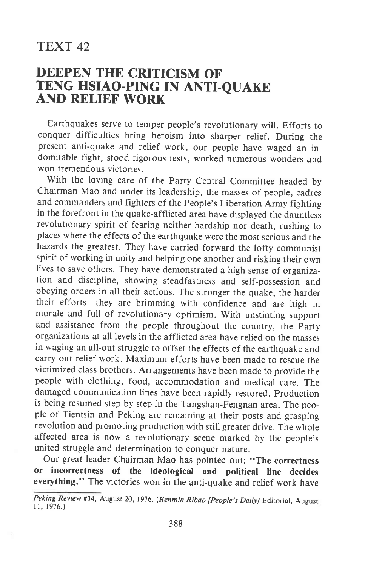## TEXT 42

## DEEPEN THE CRITICISM OF TENG HSIAO-PING IN ANTI-OUAKE AND RELIEF WORK

Earthquakes serve to temper people's revolutionary will. Efforts to conquer difficulties bring heroism into sharper relief. During the present anti-quake and relief work, our people have waged an indomitable fight, stood rigorous tests, worked numerous wonders and won tremendous victories.

With the loving care of the party Central Committee headed by Chairman Mao and under its leadership, the masses of people, cadres and commanders and fighters of the People's Liberation Army fighting in the forefront in the quake-afflicted area have displayed the dauntless revolutionary spirit of fearing neither hardship nor death, rushing to places where the effects of the earthquake were the most serious and the hazards the greatest. They have carried forward the lofty communist spirit of working in unity and helping one another and risking their own lives to save others. They have demonstrated a high sense of organization and discipline, showing steadfastness and self-possession and obeying orders in all their actions, The stronger the quake, the harder their efforts-they are brimming with confidence and are high in morale and full of revolutionary optimism. With unstinting support and assistance from the people throughout the country, the party organizations at all levels in the afflicted area have relied on the masses in waging an all-out struggle to offset the effects of the earthquake and carry out relief work. Maximum efforts have been made to rescue the victimized class brothers. Arrangements have been made to provide the people with clothing, food, accommodation and medical care. The damaged communication lines have been rapidly restored. production is being resumed step by step in the Tangshan-Fengnan area. The people of Tientsin and Peking are remaining at their posts and grasping revolution and promoting production with still greater drive. The whole affected area is now a revolutionary scene marked by the people's united struggle and determination to conquer nature.

Our great leader Chairman Mao has pointed out: "The correctness or incorrectness of the ideological and politicat line decides everything." The victories won in the anti-quake and relief work have

Peking Review #34, August 20, 1976. (Renmin Ribao [People's Daily] Editorial, August 11, 1976.)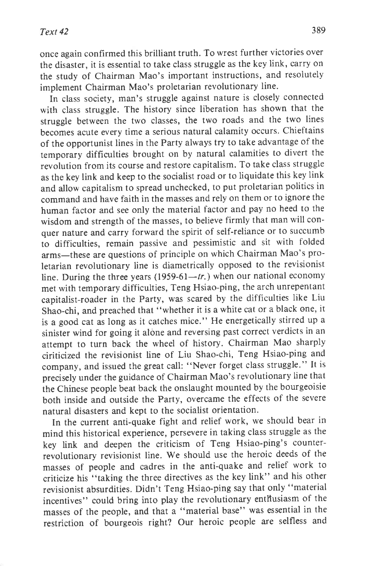once again confirmed this brilliant truth. To wrest further victories over the disaster, it is essential to take class struggle as the key link, carry on the study of Chairman Mao's important instructions, and resolutely implement Chairman Mao's proletarian revolutionary line.

In class society, man's struggle against nature is closely connected with class struggle. The history since liberation has shown that the struggle between the two classes, the two roads and the two lines becomes acute every time a serious natural calamity occurs. Chieftains of the opportunist lines in the Party always try to take advantage of the temporary difficulties brought on by natural calamities to divert the revolution from its course and restore capitalism. To take class struggle as the key link and keep to the socialist road or to liquidate this key link and allow capitalism to spread unchecked, to put proletarian politics in command and have faith in the masses and rely on them or to ignore the human factor and see only the material factor and pay no heed to the wisdom and strength of the masses, to believe firmly that man will conquer nature and carry forward the spirit of self-reliance or to succumb to difficulties, remain passive and pessimistic and sit with folded arms-these are questions of principle on which Chairman Mao's proletarian revolutionary line is diametrically opposed to the revisionist line. During the three years (1959-61- $tr$ .) when our national economy met with temporary difficulties, Teng Hsiao-ping, the arch unrepentant capitalist-roader in the Party, was scared by the difficulties like Liu Shao-chi, and preached that "whether it is a white cat or a black one, it is a good cat as long as it catches mice." He energetically stirred up a sinister wind for going it alone and reversing past correct verdicts in an attempt to turn back the wheel of history. Chairman Mao sharply ciriticized the revisionist line of Liu Shao-chi, Teng Hsiao-ping and company, and issued the great call: "Never forget class struggle." It is precisely under the guidance of chairman Mao's revolutionary Iine that the Chinese people beat back the onslaught mounted by the bourgeoisie both inside and outside the Party, overcame the effects of the severe natural disasters and kept to the socialist orientation.

In the current anti-quake fight and relief work, we should bear in mind this historical experience, persevere in taking class struggle as the key link and deepen the criticism of Teng Hsiao-ping's counterrevolutionary revisionist line. We should use the heroic deeds of the masses of people and cadres in the anti-quake and relief work to criticize his "taking the three directives as the key link" and his other revisionist absurdities. Didn't Teng Hsiao-ping say that only "material incentives" could bring into play the revolutionary enthusiasm of the masses of the people, and that a "material base" was essential in the restriction of bourgeois right? Our heroic people are selfless and